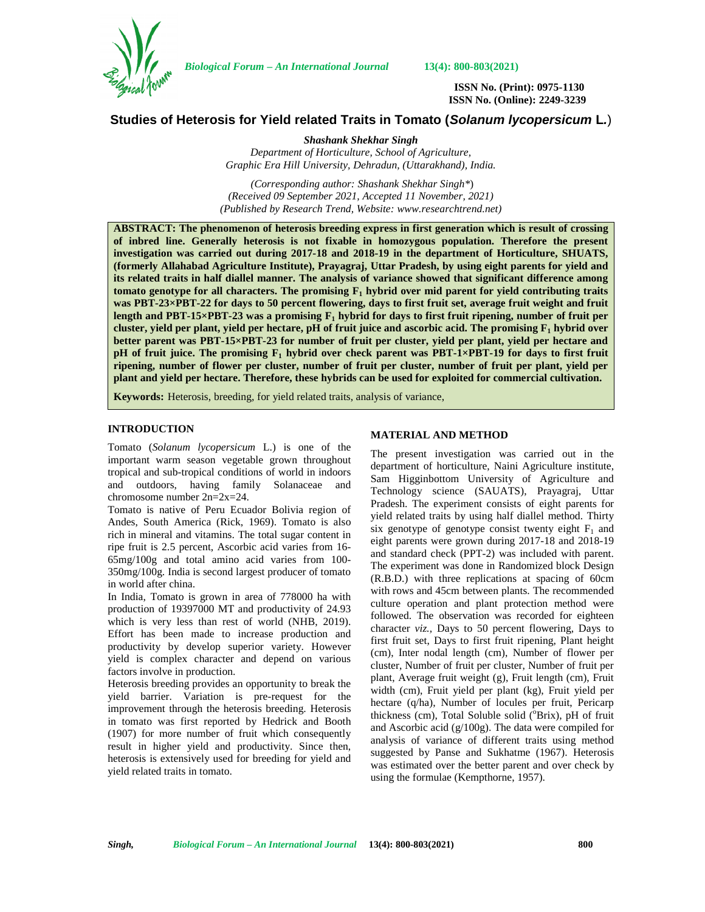

*Biological Forum – An International Journal* **13(4): 800-803(2021)**

**ISSN No. (Print): 0975-1130 ISSN No. (Online): 2249-3239**

# **Studies of Heterosis for Yield related Traits in Tomato (***Solanum lycopersicum* **L***.*)

*Shashank Shekhar Singh Department of Horticulture, School of Agriculture, Graphic Era Hill University, Dehradun, (Uttarakhand), India.*

*(Corresponding author: Shashank Shekhar Singh\**) *(Received 09 September 2021, Accepted 11 November, 2021) (Published by Research Trend, Website: [www.researchtrend.net\)](www.researchtrend.net)*

**ABSTRACT: The phenomenon of heterosis breeding express in first generation which is result of crossing of inbred line. Generally heterosis is not fixable in homozygous population. Therefore the present investigation was carried out during 2017-18 and 2018-19 in the department of Horticulture, SHUATS, (formerly Allahabad Agriculture Institute), Prayagraj, Uttar Pradesh, by using eight parents for yield and its related traits in half diallel manner. The analysis of variance showed that significant difference among tomato genotype for all characters. The promising F<sup>1</sup> hybrid over mid parent for yield contributing traits was PBT-23×PBT-22 for days to 50 percent flowering, days to first fruit set, average fruit weight and fruit length and PBT-15×PBT-23 was a promising F<sup>1</sup> hybrid for days to first fruit ripening, number of fruit per cluster, yield per plant, yield per hectare, pH of fruit juice and ascorbic acid. The promising F<sup>1</sup> hybrid over better parent was PBT-15×PBT-23 for number of fruit per cluster, yield per plant, yield per hectare and pH of fruit juice. The promising F<sup>1</sup> hybrid over check parent was PBT-1×PBT-19 for days to first fruit ripening, number of flower per cluster, number of fruit per cluster, number of fruit per plant, yield per plant and yield per hectare. Therefore, these hybrids can be used for exploited for commercial cultivation.**

**Keywords:** Heterosis, breeding, for yield related traits, analysis of variance,

## **INTRODUCTION**

Tomato (*Solanum lycopersicum* L.) is one of the important warm season vegetable grown throughout tropical and sub-tropical conditions of world in indoors and outdoors, having family Solanaceae and chromosome number 2n=2x=24.

Tomato is native of Peru Ecuador Bolivia region of Andes, South America (Rick, 1969). Tomato is also rich in mineral and vitamins. The total sugar content in ripe fruit is 2.5 percent, Ascorbic acid varies from 16- 65mg/100g and total amino acid varies from 100- 350mg/100g. India is second largest producer of tomato in world after china.

In India, Tomato is grown in area of 778000 ha with production of 19397000 MT and productivity of 24.93 which is very less than rest of world (NHB, 2019). Effort has been made to increase production and productivity by develop superior variety. However yield is complex character and depend on various factors involve in production.

Heterosis breeding provides an opportunity to break the yield barrier. Variation is pre-request for the improvement through the heterosis breeding. Heterosis in tomato was first reported by Hedrick and Booth (1907) for more number of fruit which consequently result in higher yield and productivity. Since then, heterosis is extensively used for breeding for yield and yield related traits in tomato.

### **MATERIAL AND METHOD**

The present investigation was carried out in the department of horticulture, Naini Agriculture institute, Sam Higginbottom University of Agriculture and Technology science (SAUATS), Prayagraj, Uttar Pradesh. The experiment consists of eight parents for yield related traits by using half diallel method. Thirty six genotype of genotype consist twenty eight  $F_1$  and eight parents were grown during 2017-18 and 2018-19 and standard check (PPT-2) was included with parent. The experiment was done in Randomized block Design (R.B.D.) with three replications at spacing of 60cm with rows and 45cm between plants. The recommended culture operation and plant protection method were followed. The observation was recorded for eighteen character *viz.,* Days to 50 percent flowering, Days to first fruit set, Days to first fruit ripening, Plant height (cm), Inter nodal length (cm), Number of flower per cluster, Number of fruit per cluster, Number of fruit per plant, Average fruit weight (g), Fruit length (cm), Fruit width (cm), Fruit yield per plant (kg), Fruit yield per hectare (q/ha), Number of locules per fruit, Pericarp thickness (cm), Total Soluble solid ( $^{0}$ Brix), pH of fruit and Ascorbic acid (g/100g). The data were compiled for analysis of variance of different traits using method suggested by Panse and Sukhatme (1967). Heterosis was estimated over the better parent and over check by using the formulae (Kempthorne, 1957).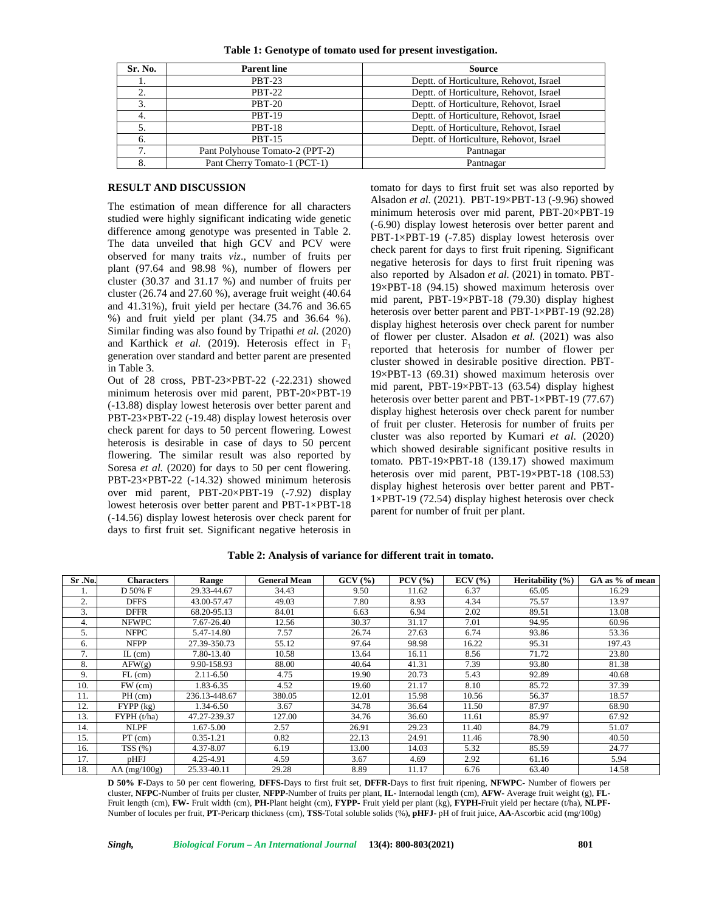|  |  |  | Table 1: Genotype of tomato used for present investigation. |  |
|--|--|--|-------------------------------------------------------------|--|
|  |  |  |                                                             |  |

| Sr. No. | <b>Parent line</b>              | <b>Source</b>                           |
|---------|---------------------------------|-----------------------------------------|
| 1.      | <b>PBT-23</b>                   | Deptt. of Horticulture, Rehovot, Israel |
| 2.      | <b>PBT-22</b>                   | Deptt. of Horticulture, Rehovot, Israel |
| 3.      | <b>PBT-20</b>                   | Deptt. of Horticulture, Rehovot, Israel |
| 4.      | <b>PBT-19</b>                   | Deptt. of Horticulture, Rehovot, Israel |
| 5.      | <b>PBT-18</b>                   | Deptt. of Horticulture, Rehovot, Israel |
| 6.      | <b>PBT-15</b>                   | Deptt. of Horticulture, Rehovot, Israel |
| 7.      | Pant Polyhouse Tomato-2 (PPT-2) | Pantnagar                               |
| 8.      | Pant Cherry Tomato-1 (PCT-1)    | Pantnagar                               |

#### **RESULT AND DISCUSSION**

The estimation of mean difference for all characters studied were highly significant indicating wide genetic difference among genotype was presented in Table 2. The data unveiled that high GCV and PCV were observed for many traits *viz*., number of fruits per plant  $(97.64$  and  $98.98$  %), number of flowers per cluster (30.37 and 31.17 %) and number of fruits per cluster (26.74 and 27.60 %), average fruit weight (40.64 and 41.31%), fruit yield per hectare (34.76 and 36.65 %) and fruit yield per plant (34.75 and 36.64 %). Similar finding was also found by Tripathi *et al.* (2020) and Karthick *et al.* (2019). Heterosis effect in  $F_1$ generation over standard and better parent are presented in Table 3.

Out of 28 cross, PBT-23×PBT-22 (-22.231) showed minimum heterosis over mid parent, PBT-20×PBT-19 (-13.88) display lowest heterosis over better parent and PBT-23×PBT-22 (-19.48) display lowest heterosis over check parent for days to 50 percent flowering. Lowest heterosis is desirable in case of days to 50 percent flowering. The similar result was also reported by Soresa *et al.* (2020) for days to 50 per cent flowering. PBT-23×PBT-22 (-14.32) showed minimum heterosis over mid parent, PBT-20×PBT-19 (-7.92) display lowest heterosis over better parent and PBT-1×PBT-18 (-14.56) display lowest heterosis over check parent for days to first fruit set. Significant negative heterosis in

tomato for days to first fruit set was also reported by Alsadon *et al.* (2021). PBT-19×PBT-13 (-9.96) showed minimum heterosis over mid parent, PBT-20×PBT-19 (-6.90) display lowest heterosis over better parent and PBT-1×PBT-19 (-7.85) display lowest heterosis over check parent for days to first fruit ripening. Significant negative heterosis for days to first fruit ripening was also reported by Alsadon *et al.* (2021) in tomato. PBT- 19×PBT-18 (94.15) showed maximum heterosis over mid parent, PBT-19×PBT-18 (79.30) display highest heterosis over better parent and PBT-1×PBT-19 (92.28) display highest heterosis over check parent for number of flower per cluster. Alsadon *et al.* (2021) was also reported that heterosis for number of flower per cluster showed in desirable positive direction. PBT- 19×PBT-13 (69.31) showed maximum heterosis over mid parent, PBT-19×PBT-13 (63.54) display highest heterosis over better parent and PBT-1×PBT-19 (77.67) display highest heterosis over check parent for number of fruit per cluster. Heterosis for number of fruits per cluster was also reported by Kumari *et al.* (2020) which showed desirable significant positive results in tomato. PBT-19×PBT-18 (139.17) showed maximum heterosis over mid parent, PBT-19×PBT-18 (108.53) display highest heterosis over better parent and PBT- 1×PBT-19 (72.54) display highest heterosis over check parent for number of fruit per plant.

| Sr .No. | <b>Characters</b> | Range         | <b>General Mean</b> | GCV(%) | PCV(%) | $ECV$ $(\%)$ | Heritability (%) | GA as % of mean |
|---------|-------------------|---------------|---------------------|--------|--------|--------------|------------------|-----------------|
|         | D 50% F           | 29.33-44.67   | 34.43               | 9.50   | 11.62  | 6.37         | 65.05            | 16.29           |
| 2.      | <b>DFFS</b>       | 43.00-57.47   | 49.03               | 7.80   | 8.93   | 4.34         | 75.57            | 13.97           |
| 3.      | <b>DFFR</b>       | 68.20-95.13   | 84.01               | 6.63   | 6.94   | 2.02         | 89.51            | 13.08           |
| 4.      | <b>NFWPC</b>      | 7.67-26.40    | 12.56               | 30.37  | 31.17  | 7.01         | 94.95            | 60.96           |
| 5.      | <b>NFPC</b>       | 5.47-14.80    | 7.57                | 26.74  | 27.63  | 6.74         | 93.86            | 53.36           |
| 6.      | <b>NFPP</b>       | 27.39-350.73  | 55.12               | 97.64  | 98.98  | 16.22        | 95.31            | 197.43          |
| 7.      | $IL$ (cm)         | 7.80-13.40    | 10.58               | 13.64  | 16.11  | 8.56         | 71.72            | 23.80           |
| 8.      | AFW(g)            | 9.90-158.93   | 88.00               | 40.64  | 41.31  | 7.39         | 93.80            | 81.38           |
| 9.      | $FL$ (cm)         | $2.11 - 6.50$ | 4.75                | 19.90  | 20.73  | 5.43         | 92.89            | 40.68           |
| 10.     | $FW$ (cm)         | 1.83-6.35     | 4.52                | 19.60  | 21.17  | 8.10         | 85.72            | 37.39           |
| 11.     | $PH$ (cm)         | 236.13-448.67 | 380.05              | 12.01  | 15.98  | 10.56        | 56.37            | 18.57           |
| 12.     | FYPP (kg)         | 1.34-6.50     | 3.67                | 34.78  | 36.64  | 11.50        | 87.97            | 68.90           |
| 13.     | FYPH(t/ha)        | 47.27-239.37  | 127.00              | 34.76  | 36.60  | 11.61        | 85.97            | 67.92           |
| 14.     | <b>NLPF</b>       | 1.67-5.00     | 2.57                | 26.91  | 29.23  | 11.40        | 84.79            | 51.07           |
| 15.     | $PT$ (cm)         | $0.35 - 1.21$ | 0.82                | 22.13  | 24.91  | 11.46        | 78.90            | 40.50           |
| 16.     | TSS(%)            | 4.37-8.07     | 6.19                | 13.00  | 14.03  | 5.32         | 85.59            | 24.77           |
| 17.     | pHFJ              | 4.25-4.91     | 4.59                | 3.67   | 4.69   | 2.92         | 61.16            | 5.94            |
| 18.     | $AA$ (mg/100g)    | 25.33-40.11   | 29.28               | 8.89   | 11.17  | 6.76         | 63.40            | 14.58           |

#### **Table 2: Analysis of variance for different trait in tomato.**

**D 50% F-**Days to 50 per cent flowering, **DFFS-**Days to first fruit set, **DFFR-**Days to first fruit ripening, **NFWPC-** Number of flowers per cluster, **NFPC-**Number of fruits per cluster, **NFPP-**Number of fruits per plant, **IL-** Internodal length (cm), **AFW-** Average fruit weight (g), **FL-** Fruit length (cm), **FW-** Fruit width (cm), **PH-**Plant height (cm), **FYPP-** Fruit yield per plant (kg), **FYPH-**Fruit yield per hectare (t/ha), **NLPF-** Number of locules per fruit, **PT-**Pericarp thickness (cm), **TSS-**Total soluble solids (%)**, pHFJ-** pH of fruit juice, **AA-**Ascorbic acid (mg/100g)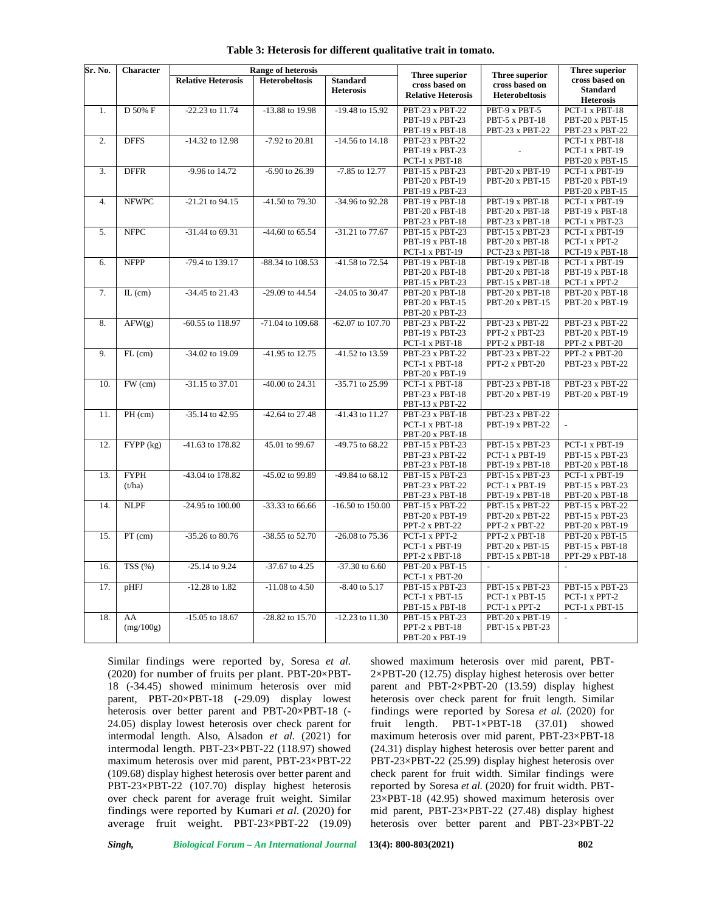| <b>Relative Heterosis</b><br>cross based on<br><b>Heterobeltosis</b><br><b>Standard</b><br>cross based on<br>cross based on<br><b>Standard</b><br><b>Heterosis</b><br><b>Relative Heterosis</b><br><b>Heterobeltosis</b><br><b>Heterosis</b><br>-13.88 to 19.98<br>$-19.48$ to 15.92<br>PBT-9 x PBT-5<br>D 50% F<br>$-22.23$ to $11.74$<br>PBT-23 x PBT-22<br>PCT-1 x PBT-18<br>1.<br>PBT-19 x PBT-23<br>PBT-5 x PBT-18<br>PBT-20 x PBT-15<br>PBT-19 x PBT-18<br>PBT-23 x PBT-22<br>PBT-23 x PBT-22<br><b>DFFS</b><br>-14.32 to 12.98<br>-7.92 to 20.81<br>-14.56 to 14.18<br>PBT-23 x PBT-22<br>PCT-1 x PBT-18<br>2.<br>PBT-19 x PBT-23<br>PCT-1 x PBT-19<br>PCT-1 x PBT-18<br>PBT-20 x PBT-15<br><b>DFFR</b><br>-9.96 to 14.72<br>-7.85 to 12.77<br>PBT-20 x PBT-19<br>3.<br>$-6.90$ to 26.39<br>PBT-15 x PBT-23<br>PCT-1 x PBT-19<br>PBT-20 x PBT-15<br>PBT-20 x PBT-19<br>PBT-20 x PBT-19<br>PBT-19 x PBT-23<br>PBT-20 x PBT-15<br><b>NFWPC</b><br>PCT-1 x PBT-19<br>4.<br>$-21.21$ to 94.15<br>-41.50 to 79.30<br>-34.96 to 92.28<br>PBT-19 x PBT-18<br>PBT-19 x PBT-18<br>PBT-20 x PBT-18<br>PBT-19 x PBT-18<br>PBT-20 x PBT-18<br>PBT-23 x PBT-18<br>PBT-23 x PBT-18<br>PCT-1 x PBT-23<br>-31.44 to 69.31<br>-44.60 to 65.54<br>PBT-15 x PBT-23<br>PCT-1 x PBT-19<br>5.<br><b>NFPC</b><br>-31.21 to 77.67<br>PBT-15 x PBT-23<br>PBT-19 x PBT-18<br>PBT-20 x PBT-18<br>PCT-1 x PPT-2<br>PCT-1 x PBT-19<br>PCT-23 x PBT-18<br>PCT-19 x PBT-18<br><b>NFPP</b><br>-79.4 to 139.17<br>$-88.34$ to $108.53$<br>-41.58 to 72.54<br>PBT-19 x PBT-18<br>PBT-19 x PBT-18<br>PCT-1 x PBT-19<br>6.<br>PBT-20 x PBT-18<br>PBT-20 x PBT-18<br>PBT-19 x PBT-18<br>PBT-15 x PBT-23<br>PBT-15 x PBT-18<br>PCT-1 x PPT-2<br>-34.45 to 21.43<br>-29.09 to 44.54<br>-24.05 to 30.47<br>PBT-20 x PBT-18<br>7.<br>$IL$ (cm)<br>PBT-20 x PBT-18<br>PBT-20 x PBT-18<br>PBT-20 x PBT-15<br>PBT-20 x PBT-15<br>PBT-20 x PBT-19<br>PBT-20 x PBT-23<br>AFW(g)<br>-60.55 to 118.97<br>-71.04 to 109.68<br>-62.07 to 107.70<br><b>PBT-23 x PBT-22</b><br>PBT-23 x PBT-22<br>PBT-23 x PBT-22<br>8.<br>PBT-19 x PBT-23<br>PPT-2 x PBT-23<br>PBT-20 x PBT-19<br>PCT-1 x PBT-18<br>PPT-2 x PBT-18<br>PPT-2 x PBT-20<br>-41.52 to 13.59<br>9.<br>$FL$ (cm)<br>-34.02 to 19.09<br>-41.95 to 12.75<br>PBT-23 x PBT-22<br>PBT-23 x PBT-22<br>PPT-2 x PBT-20<br>PCT-1 x PBT-18<br>PPT-2 x PBT-20<br>PBT-23 x PBT-22<br>PBT-20 x PBT-19<br>10.<br>FW (cm)<br>-31.15 to 37.01<br>-40.00 to 24.31<br>-35.71 to 25.99<br>PCT-1 x PBT-18<br>PBT-23 x PBT-18<br>PBT-23 x PBT-22<br>PBT-23 x PBT-18<br>PBT-20 x PBT-19<br>PBT-20 x PBT-19<br>PBT-13 x PBT-22<br>$PH$ (cm)<br>PBT-23 x PBT-18<br>11.<br>-35.14 to 42.95<br>-42.64 to 27.48<br>-41.43 to 11.27<br>PBT-23 x PBT-22<br>PCT-1 x PBT-18<br>PBT-19 x PBT-22<br><b>PBT-20 x PBT-18</b><br>12.<br>FYPP (kg)<br>-41.63 to 178.82<br>45.01 to 99.67<br>-49.75 to 68.22<br>PBT-15 x PBT-23<br>PBT-15 x PBT-23<br>PCT-1 x PBT-19<br>PBT-23 x PBT-22<br>$PCT-1 \times PBT-19$<br>PBT-15 x PBT-23<br>PBT-23 x PBT-18<br>PBT-19 x PBT-18<br>PBT-20 x PBT-18<br><b>FYPH</b><br>-43.04 to 178.82<br>-45.02 to 99.89<br>-49.84 to 68.12<br>PCT-1 x PBT-19<br>13.<br>PBT-15 x PBT-23<br>PBT-15 x PBT-23<br>(t/ha)<br>PBT-23 x PBT-22<br>PCT-1 x PBT-19<br>PBT-15 x PBT-23<br>PBT-23 x PBT-18<br>PBT-19 x PBT-18<br>PBT-20 x PBT-18<br>$-24.95$ to $100.00$<br><b>NLPF</b><br>-33.33 to 66.66<br>$-16.50$ to $150.00$<br>PBT-15 x PBT-22<br>14.<br>PBT-15 x PBT-22<br>PBT-15 x PBT-22<br>PBT-20 x PBT-19<br>PBT-20 x PBT-22<br>PBT-15 x PBT-23<br>PPT-2 x PBT-22<br>PPT-2 x PBT-22<br>PBT-20 x PBT-19<br>$PT$ (cm)<br>-35.26 to 80.76<br>-38.55 to 52.70<br>-26.08 to 75.36<br>PCT-1 x PPT-2<br>PPT-2 x PBT-18<br>PBT-20 x PBT-15<br>15.<br>PCT-1 x PBT-19<br>PBT-15 x PBT-18<br>PBT-20 x PBT-15<br>PPT-2 x PBT-18<br>PBT-15 x PBT-18<br>PPT-29 x PBT-18<br>TSS(%)<br>$-25.14$ to $9.24$<br>-37.67 to 4.25<br>$-37.30$ to 6.60<br>PBT-20 x PBT-15<br>16.<br>$\mathcal{L}$<br>$\blacksquare$<br>PCT-1 x PBT-20<br>pHFJ<br>$-12.28$ to $1.82$<br>$-11.08$ to 4.50<br>$-8.40$ to $5.17$<br>PBT-15 x PBT-23<br>PBT-15 x PBT-23<br>PBT-15 x PBT-23<br>17.<br>$PCT-1$ x $PBT-15$<br>PCT-1 x PBT-15<br>PCT-1 x PPT-2<br>PBT-15 x PBT-18<br>PCT-1 x PPT-2<br>PCT-1 x PBT-15<br>-15.05 to 18.67<br>-28.82 to 15.70<br>$-12.23$ to $11.30$<br>PBT-15 x PBT-23<br>PBT-20 x PBT-19<br>18.<br>AA<br>(mg/100g)<br>PPT-2 x PBT-18<br>PBT-15 x PBT-23<br>PBT-20 x PBT-19 | Sr. No. | Character | <b>Range of heterosis</b> |  |  |                |                | Three superior |
|--------------------------------------------------------------------------------------------------------------------------------------------------------------------------------------------------------------------------------------------------------------------------------------------------------------------------------------------------------------------------------------------------------------------------------------------------------------------------------------------------------------------------------------------------------------------------------------------------------------------------------------------------------------------------------------------------------------------------------------------------------------------------------------------------------------------------------------------------------------------------------------------------------------------------------------------------------------------------------------------------------------------------------------------------------------------------------------------------------------------------------------------------------------------------------------------------------------------------------------------------------------------------------------------------------------------------------------------------------------------------------------------------------------------------------------------------------------------------------------------------------------------------------------------------------------------------------------------------------------------------------------------------------------------------------------------------------------------------------------------------------------------------------------------------------------------------------------------------------------------------------------------------------------------------------------------------------------------------------------------------------------------------------------------------------------------------------------------------------------------------------------------------------------------------------------------------------------------------------------------------------------------------------------------------------------------------------------------------------------------------------------------------------------------------------------------------------------------------------------------------------------------------------------------------------------------------------------------------------------------------------------------------------------------------------------------------------------------------------------------------------------------------------------------------------------------------------------------------------------------------------------------------------------------------------------------------------------------------------------------------------------------------------------------------------------------------------------------------------------------------------------------------------------------------------------------------------------------------------------------------------------------------------------------------------------------------------------------------------------------------------------------------------------------------------------------------------------------------------------------------------------------------------------------------------------------------------------------------------------------------------------------------------------------------------------------------------------------------------------------------------------------------------------------------------------------------------------------------------------------------------------------------------------------------------------------------------------------------------------------------------------------------------------------------------------------------------------------------------------------------------------------------------------------------------------------------------------------------------------------------------------------------------------------------------------------------------------------------------------------------------------------------------------------------------------------------------------|---------|-----------|---------------------------|--|--|----------------|----------------|----------------|
|                                                                                                                                                                                                                                                                                                                                                                                                                                                                                                                                                                                                                                                                                                                                                                                                                                                                                                                                                                                                                                                                                                                                                                                                                                                                                                                                                                                                                                                                                                                                                                                                                                                                                                                                                                                                                                                                                                                                                                                                                                                                                                                                                                                                                                                                                                                                                                                                                                                                                                                                                                                                                                                                                                                                                                                                                                                                                                                                                                                                                                                                                                                                                                                                                                                                                                                                                                                                                                                                                                                                                                                                                                                                                                                                                                                                                                                                                                                                                                                                                                                                                                                                                                                                                                                                                                                                                                                                                                                              |         |           |                           |  |  | Three superior | Three superior |                |
|                                                                                                                                                                                                                                                                                                                                                                                                                                                                                                                                                                                                                                                                                                                                                                                                                                                                                                                                                                                                                                                                                                                                                                                                                                                                                                                                                                                                                                                                                                                                                                                                                                                                                                                                                                                                                                                                                                                                                                                                                                                                                                                                                                                                                                                                                                                                                                                                                                                                                                                                                                                                                                                                                                                                                                                                                                                                                                                                                                                                                                                                                                                                                                                                                                                                                                                                                                                                                                                                                                                                                                                                                                                                                                                                                                                                                                                                                                                                                                                                                                                                                                                                                                                                                                                                                                                                                                                                                                                              |         |           |                           |  |  |                |                |                |
|                                                                                                                                                                                                                                                                                                                                                                                                                                                                                                                                                                                                                                                                                                                                                                                                                                                                                                                                                                                                                                                                                                                                                                                                                                                                                                                                                                                                                                                                                                                                                                                                                                                                                                                                                                                                                                                                                                                                                                                                                                                                                                                                                                                                                                                                                                                                                                                                                                                                                                                                                                                                                                                                                                                                                                                                                                                                                                                                                                                                                                                                                                                                                                                                                                                                                                                                                                                                                                                                                                                                                                                                                                                                                                                                                                                                                                                                                                                                                                                                                                                                                                                                                                                                                                                                                                                                                                                                                                                              |         |           |                           |  |  |                |                |                |
|                                                                                                                                                                                                                                                                                                                                                                                                                                                                                                                                                                                                                                                                                                                                                                                                                                                                                                                                                                                                                                                                                                                                                                                                                                                                                                                                                                                                                                                                                                                                                                                                                                                                                                                                                                                                                                                                                                                                                                                                                                                                                                                                                                                                                                                                                                                                                                                                                                                                                                                                                                                                                                                                                                                                                                                                                                                                                                                                                                                                                                                                                                                                                                                                                                                                                                                                                                                                                                                                                                                                                                                                                                                                                                                                                                                                                                                                                                                                                                                                                                                                                                                                                                                                                                                                                                                                                                                                                                                              |         |           |                           |  |  |                |                |                |
|                                                                                                                                                                                                                                                                                                                                                                                                                                                                                                                                                                                                                                                                                                                                                                                                                                                                                                                                                                                                                                                                                                                                                                                                                                                                                                                                                                                                                                                                                                                                                                                                                                                                                                                                                                                                                                                                                                                                                                                                                                                                                                                                                                                                                                                                                                                                                                                                                                                                                                                                                                                                                                                                                                                                                                                                                                                                                                                                                                                                                                                                                                                                                                                                                                                                                                                                                                                                                                                                                                                                                                                                                                                                                                                                                                                                                                                                                                                                                                                                                                                                                                                                                                                                                                                                                                                                                                                                                                                              |         |           |                           |  |  |                |                |                |
|                                                                                                                                                                                                                                                                                                                                                                                                                                                                                                                                                                                                                                                                                                                                                                                                                                                                                                                                                                                                                                                                                                                                                                                                                                                                                                                                                                                                                                                                                                                                                                                                                                                                                                                                                                                                                                                                                                                                                                                                                                                                                                                                                                                                                                                                                                                                                                                                                                                                                                                                                                                                                                                                                                                                                                                                                                                                                                                                                                                                                                                                                                                                                                                                                                                                                                                                                                                                                                                                                                                                                                                                                                                                                                                                                                                                                                                                                                                                                                                                                                                                                                                                                                                                                                                                                                                                                                                                                                                              |         |           |                           |  |  |                |                |                |
|                                                                                                                                                                                                                                                                                                                                                                                                                                                                                                                                                                                                                                                                                                                                                                                                                                                                                                                                                                                                                                                                                                                                                                                                                                                                                                                                                                                                                                                                                                                                                                                                                                                                                                                                                                                                                                                                                                                                                                                                                                                                                                                                                                                                                                                                                                                                                                                                                                                                                                                                                                                                                                                                                                                                                                                                                                                                                                                                                                                                                                                                                                                                                                                                                                                                                                                                                                                                                                                                                                                                                                                                                                                                                                                                                                                                                                                                                                                                                                                                                                                                                                                                                                                                                                                                                                                                                                                                                                                              |         |           |                           |  |  |                |                |                |
|                                                                                                                                                                                                                                                                                                                                                                                                                                                                                                                                                                                                                                                                                                                                                                                                                                                                                                                                                                                                                                                                                                                                                                                                                                                                                                                                                                                                                                                                                                                                                                                                                                                                                                                                                                                                                                                                                                                                                                                                                                                                                                                                                                                                                                                                                                                                                                                                                                                                                                                                                                                                                                                                                                                                                                                                                                                                                                                                                                                                                                                                                                                                                                                                                                                                                                                                                                                                                                                                                                                                                                                                                                                                                                                                                                                                                                                                                                                                                                                                                                                                                                                                                                                                                                                                                                                                                                                                                                                              |         |           |                           |  |  |                |                |                |
|                                                                                                                                                                                                                                                                                                                                                                                                                                                                                                                                                                                                                                                                                                                                                                                                                                                                                                                                                                                                                                                                                                                                                                                                                                                                                                                                                                                                                                                                                                                                                                                                                                                                                                                                                                                                                                                                                                                                                                                                                                                                                                                                                                                                                                                                                                                                                                                                                                                                                                                                                                                                                                                                                                                                                                                                                                                                                                                                                                                                                                                                                                                                                                                                                                                                                                                                                                                                                                                                                                                                                                                                                                                                                                                                                                                                                                                                                                                                                                                                                                                                                                                                                                                                                                                                                                                                                                                                                                                              |         |           |                           |  |  |                |                |                |
|                                                                                                                                                                                                                                                                                                                                                                                                                                                                                                                                                                                                                                                                                                                                                                                                                                                                                                                                                                                                                                                                                                                                                                                                                                                                                                                                                                                                                                                                                                                                                                                                                                                                                                                                                                                                                                                                                                                                                                                                                                                                                                                                                                                                                                                                                                                                                                                                                                                                                                                                                                                                                                                                                                                                                                                                                                                                                                                                                                                                                                                                                                                                                                                                                                                                                                                                                                                                                                                                                                                                                                                                                                                                                                                                                                                                                                                                                                                                                                                                                                                                                                                                                                                                                                                                                                                                                                                                                                                              |         |           |                           |  |  |                |                |                |
|                                                                                                                                                                                                                                                                                                                                                                                                                                                                                                                                                                                                                                                                                                                                                                                                                                                                                                                                                                                                                                                                                                                                                                                                                                                                                                                                                                                                                                                                                                                                                                                                                                                                                                                                                                                                                                                                                                                                                                                                                                                                                                                                                                                                                                                                                                                                                                                                                                                                                                                                                                                                                                                                                                                                                                                                                                                                                                                                                                                                                                                                                                                                                                                                                                                                                                                                                                                                                                                                                                                                                                                                                                                                                                                                                                                                                                                                                                                                                                                                                                                                                                                                                                                                                                                                                                                                                                                                                                                              |         |           |                           |  |  |                |                |                |
|                                                                                                                                                                                                                                                                                                                                                                                                                                                                                                                                                                                                                                                                                                                                                                                                                                                                                                                                                                                                                                                                                                                                                                                                                                                                                                                                                                                                                                                                                                                                                                                                                                                                                                                                                                                                                                                                                                                                                                                                                                                                                                                                                                                                                                                                                                                                                                                                                                                                                                                                                                                                                                                                                                                                                                                                                                                                                                                                                                                                                                                                                                                                                                                                                                                                                                                                                                                                                                                                                                                                                                                                                                                                                                                                                                                                                                                                                                                                                                                                                                                                                                                                                                                                                                                                                                                                                                                                                                                              |         |           |                           |  |  |                |                |                |
|                                                                                                                                                                                                                                                                                                                                                                                                                                                                                                                                                                                                                                                                                                                                                                                                                                                                                                                                                                                                                                                                                                                                                                                                                                                                                                                                                                                                                                                                                                                                                                                                                                                                                                                                                                                                                                                                                                                                                                                                                                                                                                                                                                                                                                                                                                                                                                                                                                                                                                                                                                                                                                                                                                                                                                                                                                                                                                                                                                                                                                                                                                                                                                                                                                                                                                                                                                                                                                                                                                                                                                                                                                                                                                                                                                                                                                                                                                                                                                                                                                                                                                                                                                                                                                                                                                                                                                                                                                                              |         |           |                           |  |  |                |                |                |
|                                                                                                                                                                                                                                                                                                                                                                                                                                                                                                                                                                                                                                                                                                                                                                                                                                                                                                                                                                                                                                                                                                                                                                                                                                                                                                                                                                                                                                                                                                                                                                                                                                                                                                                                                                                                                                                                                                                                                                                                                                                                                                                                                                                                                                                                                                                                                                                                                                                                                                                                                                                                                                                                                                                                                                                                                                                                                                                                                                                                                                                                                                                                                                                                                                                                                                                                                                                                                                                                                                                                                                                                                                                                                                                                                                                                                                                                                                                                                                                                                                                                                                                                                                                                                                                                                                                                                                                                                                                              |         |           |                           |  |  |                |                |                |
|                                                                                                                                                                                                                                                                                                                                                                                                                                                                                                                                                                                                                                                                                                                                                                                                                                                                                                                                                                                                                                                                                                                                                                                                                                                                                                                                                                                                                                                                                                                                                                                                                                                                                                                                                                                                                                                                                                                                                                                                                                                                                                                                                                                                                                                                                                                                                                                                                                                                                                                                                                                                                                                                                                                                                                                                                                                                                                                                                                                                                                                                                                                                                                                                                                                                                                                                                                                                                                                                                                                                                                                                                                                                                                                                                                                                                                                                                                                                                                                                                                                                                                                                                                                                                                                                                                                                                                                                                                                              |         |           |                           |  |  |                |                |                |
|                                                                                                                                                                                                                                                                                                                                                                                                                                                                                                                                                                                                                                                                                                                                                                                                                                                                                                                                                                                                                                                                                                                                                                                                                                                                                                                                                                                                                                                                                                                                                                                                                                                                                                                                                                                                                                                                                                                                                                                                                                                                                                                                                                                                                                                                                                                                                                                                                                                                                                                                                                                                                                                                                                                                                                                                                                                                                                                                                                                                                                                                                                                                                                                                                                                                                                                                                                                                                                                                                                                                                                                                                                                                                                                                                                                                                                                                                                                                                                                                                                                                                                                                                                                                                                                                                                                                                                                                                                                              |         |           |                           |  |  |                |                |                |
|                                                                                                                                                                                                                                                                                                                                                                                                                                                                                                                                                                                                                                                                                                                                                                                                                                                                                                                                                                                                                                                                                                                                                                                                                                                                                                                                                                                                                                                                                                                                                                                                                                                                                                                                                                                                                                                                                                                                                                                                                                                                                                                                                                                                                                                                                                                                                                                                                                                                                                                                                                                                                                                                                                                                                                                                                                                                                                                                                                                                                                                                                                                                                                                                                                                                                                                                                                                                                                                                                                                                                                                                                                                                                                                                                                                                                                                                                                                                                                                                                                                                                                                                                                                                                                                                                                                                                                                                                                                              |         |           |                           |  |  |                |                |                |
|                                                                                                                                                                                                                                                                                                                                                                                                                                                                                                                                                                                                                                                                                                                                                                                                                                                                                                                                                                                                                                                                                                                                                                                                                                                                                                                                                                                                                                                                                                                                                                                                                                                                                                                                                                                                                                                                                                                                                                                                                                                                                                                                                                                                                                                                                                                                                                                                                                                                                                                                                                                                                                                                                                                                                                                                                                                                                                                                                                                                                                                                                                                                                                                                                                                                                                                                                                                                                                                                                                                                                                                                                                                                                                                                                                                                                                                                                                                                                                                                                                                                                                                                                                                                                                                                                                                                                                                                                                                              |         |           |                           |  |  |                |                |                |
|                                                                                                                                                                                                                                                                                                                                                                                                                                                                                                                                                                                                                                                                                                                                                                                                                                                                                                                                                                                                                                                                                                                                                                                                                                                                                                                                                                                                                                                                                                                                                                                                                                                                                                                                                                                                                                                                                                                                                                                                                                                                                                                                                                                                                                                                                                                                                                                                                                                                                                                                                                                                                                                                                                                                                                                                                                                                                                                                                                                                                                                                                                                                                                                                                                                                                                                                                                                                                                                                                                                                                                                                                                                                                                                                                                                                                                                                                                                                                                                                                                                                                                                                                                                                                                                                                                                                                                                                                                                              |         |           |                           |  |  |                |                |                |
|                                                                                                                                                                                                                                                                                                                                                                                                                                                                                                                                                                                                                                                                                                                                                                                                                                                                                                                                                                                                                                                                                                                                                                                                                                                                                                                                                                                                                                                                                                                                                                                                                                                                                                                                                                                                                                                                                                                                                                                                                                                                                                                                                                                                                                                                                                                                                                                                                                                                                                                                                                                                                                                                                                                                                                                                                                                                                                                                                                                                                                                                                                                                                                                                                                                                                                                                                                                                                                                                                                                                                                                                                                                                                                                                                                                                                                                                                                                                                                                                                                                                                                                                                                                                                                                                                                                                                                                                                                                              |         |           |                           |  |  |                |                |                |
|                                                                                                                                                                                                                                                                                                                                                                                                                                                                                                                                                                                                                                                                                                                                                                                                                                                                                                                                                                                                                                                                                                                                                                                                                                                                                                                                                                                                                                                                                                                                                                                                                                                                                                                                                                                                                                                                                                                                                                                                                                                                                                                                                                                                                                                                                                                                                                                                                                                                                                                                                                                                                                                                                                                                                                                                                                                                                                                                                                                                                                                                                                                                                                                                                                                                                                                                                                                                                                                                                                                                                                                                                                                                                                                                                                                                                                                                                                                                                                                                                                                                                                                                                                                                                                                                                                                                                                                                                                                              |         |           |                           |  |  |                |                |                |
|                                                                                                                                                                                                                                                                                                                                                                                                                                                                                                                                                                                                                                                                                                                                                                                                                                                                                                                                                                                                                                                                                                                                                                                                                                                                                                                                                                                                                                                                                                                                                                                                                                                                                                                                                                                                                                                                                                                                                                                                                                                                                                                                                                                                                                                                                                                                                                                                                                                                                                                                                                                                                                                                                                                                                                                                                                                                                                                                                                                                                                                                                                                                                                                                                                                                                                                                                                                                                                                                                                                                                                                                                                                                                                                                                                                                                                                                                                                                                                                                                                                                                                                                                                                                                                                                                                                                                                                                                                                              |         |           |                           |  |  |                |                |                |
|                                                                                                                                                                                                                                                                                                                                                                                                                                                                                                                                                                                                                                                                                                                                                                                                                                                                                                                                                                                                                                                                                                                                                                                                                                                                                                                                                                                                                                                                                                                                                                                                                                                                                                                                                                                                                                                                                                                                                                                                                                                                                                                                                                                                                                                                                                                                                                                                                                                                                                                                                                                                                                                                                                                                                                                                                                                                                                                                                                                                                                                                                                                                                                                                                                                                                                                                                                                                                                                                                                                                                                                                                                                                                                                                                                                                                                                                                                                                                                                                                                                                                                                                                                                                                                                                                                                                                                                                                                                              |         |           |                           |  |  |                |                |                |
|                                                                                                                                                                                                                                                                                                                                                                                                                                                                                                                                                                                                                                                                                                                                                                                                                                                                                                                                                                                                                                                                                                                                                                                                                                                                                                                                                                                                                                                                                                                                                                                                                                                                                                                                                                                                                                                                                                                                                                                                                                                                                                                                                                                                                                                                                                                                                                                                                                                                                                                                                                                                                                                                                                                                                                                                                                                                                                                                                                                                                                                                                                                                                                                                                                                                                                                                                                                                                                                                                                                                                                                                                                                                                                                                                                                                                                                                                                                                                                                                                                                                                                                                                                                                                                                                                                                                                                                                                                                              |         |           |                           |  |  |                |                |                |
|                                                                                                                                                                                                                                                                                                                                                                                                                                                                                                                                                                                                                                                                                                                                                                                                                                                                                                                                                                                                                                                                                                                                                                                                                                                                                                                                                                                                                                                                                                                                                                                                                                                                                                                                                                                                                                                                                                                                                                                                                                                                                                                                                                                                                                                                                                                                                                                                                                                                                                                                                                                                                                                                                                                                                                                                                                                                                                                                                                                                                                                                                                                                                                                                                                                                                                                                                                                                                                                                                                                                                                                                                                                                                                                                                                                                                                                                                                                                                                                                                                                                                                                                                                                                                                                                                                                                                                                                                                                              |         |           |                           |  |  |                |                |                |
|                                                                                                                                                                                                                                                                                                                                                                                                                                                                                                                                                                                                                                                                                                                                                                                                                                                                                                                                                                                                                                                                                                                                                                                                                                                                                                                                                                                                                                                                                                                                                                                                                                                                                                                                                                                                                                                                                                                                                                                                                                                                                                                                                                                                                                                                                                                                                                                                                                                                                                                                                                                                                                                                                                                                                                                                                                                                                                                                                                                                                                                                                                                                                                                                                                                                                                                                                                                                                                                                                                                                                                                                                                                                                                                                                                                                                                                                                                                                                                                                                                                                                                                                                                                                                                                                                                                                                                                                                                                              |         |           |                           |  |  |                |                |                |
|                                                                                                                                                                                                                                                                                                                                                                                                                                                                                                                                                                                                                                                                                                                                                                                                                                                                                                                                                                                                                                                                                                                                                                                                                                                                                                                                                                                                                                                                                                                                                                                                                                                                                                                                                                                                                                                                                                                                                                                                                                                                                                                                                                                                                                                                                                                                                                                                                                                                                                                                                                                                                                                                                                                                                                                                                                                                                                                                                                                                                                                                                                                                                                                                                                                                                                                                                                                                                                                                                                                                                                                                                                                                                                                                                                                                                                                                                                                                                                                                                                                                                                                                                                                                                                                                                                                                                                                                                                                              |         |           |                           |  |  |                |                |                |
|                                                                                                                                                                                                                                                                                                                                                                                                                                                                                                                                                                                                                                                                                                                                                                                                                                                                                                                                                                                                                                                                                                                                                                                                                                                                                                                                                                                                                                                                                                                                                                                                                                                                                                                                                                                                                                                                                                                                                                                                                                                                                                                                                                                                                                                                                                                                                                                                                                                                                                                                                                                                                                                                                                                                                                                                                                                                                                                                                                                                                                                                                                                                                                                                                                                                                                                                                                                                                                                                                                                                                                                                                                                                                                                                                                                                                                                                                                                                                                                                                                                                                                                                                                                                                                                                                                                                                                                                                                                              |         |           |                           |  |  |                |                |                |
|                                                                                                                                                                                                                                                                                                                                                                                                                                                                                                                                                                                                                                                                                                                                                                                                                                                                                                                                                                                                                                                                                                                                                                                                                                                                                                                                                                                                                                                                                                                                                                                                                                                                                                                                                                                                                                                                                                                                                                                                                                                                                                                                                                                                                                                                                                                                                                                                                                                                                                                                                                                                                                                                                                                                                                                                                                                                                                                                                                                                                                                                                                                                                                                                                                                                                                                                                                                                                                                                                                                                                                                                                                                                                                                                                                                                                                                                                                                                                                                                                                                                                                                                                                                                                                                                                                                                                                                                                                                              |         |           |                           |  |  |                |                |                |
|                                                                                                                                                                                                                                                                                                                                                                                                                                                                                                                                                                                                                                                                                                                                                                                                                                                                                                                                                                                                                                                                                                                                                                                                                                                                                                                                                                                                                                                                                                                                                                                                                                                                                                                                                                                                                                                                                                                                                                                                                                                                                                                                                                                                                                                                                                                                                                                                                                                                                                                                                                                                                                                                                                                                                                                                                                                                                                                                                                                                                                                                                                                                                                                                                                                                                                                                                                                                                                                                                                                                                                                                                                                                                                                                                                                                                                                                                                                                                                                                                                                                                                                                                                                                                                                                                                                                                                                                                                                              |         |           |                           |  |  |                |                |                |
|                                                                                                                                                                                                                                                                                                                                                                                                                                                                                                                                                                                                                                                                                                                                                                                                                                                                                                                                                                                                                                                                                                                                                                                                                                                                                                                                                                                                                                                                                                                                                                                                                                                                                                                                                                                                                                                                                                                                                                                                                                                                                                                                                                                                                                                                                                                                                                                                                                                                                                                                                                                                                                                                                                                                                                                                                                                                                                                                                                                                                                                                                                                                                                                                                                                                                                                                                                                                                                                                                                                                                                                                                                                                                                                                                                                                                                                                                                                                                                                                                                                                                                                                                                                                                                                                                                                                                                                                                                                              |         |           |                           |  |  |                |                |                |
|                                                                                                                                                                                                                                                                                                                                                                                                                                                                                                                                                                                                                                                                                                                                                                                                                                                                                                                                                                                                                                                                                                                                                                                                                                                                                                                                                                                                                                                                                                                                                                                                                                                                                                                                                                                                                                                                                                                                                                                                                                                                                                                                                                                                                                                                                                                                                                                                                                                                                                                                                                                                                                                                                                                                                                                                                                                                                                                                                                                                                                                                                                                                                                                                                                                                                                                                                                                                                                                                                                                                                                                                                                                                                                                                                                                                                                                                                                                                                                                                                                                                                                                                                                                                                                                                                                                                                                                                                                                              |         |           |                           |  |  |                |                |                |
|                                                                                                                                                                                                                                                                                                                                                                                                                                                                                                                                                                                                                                                                                                                                                                                                                                                                                                                                                                                                                                                                                                                                                                                                                                                                                                                                                                                                                                                                                                                                                                                                                                                                                                                                                                                                                                                                                                                                                                                                                                                                                                                                                                                                                                                                                                                                                                                                                                                                                                                                                                                                                                                                                                                                                                                                                                                                                                                                                                                                                                                                                                                                                                                                                                                                                                                                                                                                                                                                                                                                                                                                                                                                                                                                                                                                                                                                                                                                                                                                                                                                                                                                                                                                                                                                                                                                                                                                                                                              |         |           |                           |  |  |                |                |                |
|                                                                                                                                                                                                                                                                                                                                                                                                                                                                                                                                                                                                                                                                                                                                                                                                                                                                                                                                                                                                                                                                                                                                                                                                                                                                                                                                                                                                                                                                                                                                                                                                                                                                                                                                                                                                                                                                                                                                                                                                                                                                                                                                                                                                                                                                                                                                                                                                                                                                                                                                                                                                                                                                                                                                                                                                                                                                                                                                                                                                                                                                                                                                                                                                                                                                                                                                                                                                                                                                                                                                                                                                                                                                                                                                                                                                                                                                                                                                                                                                                                                                                                                                                                                                                                                                                                                                                                                                                                                              |         |           |                           |  |  |                |                |                |
|                                                                                                                                                                                                                                                                                                                                                                                                                                                                                                                                                                                                                                                                                                                                                                                                                                                                                                                                                                                                                                                                                                                                                                                                                                                                                                                                                                                                                                                                                                                                                                                                                                                                                                                                                                                                                                                                                                                                                                                                                                                                                                                                                                                                                                                                                                                                                                                                                                                                                                                                                                                                                                                                                                                                                                                                                                                                                                                                                                                                                                                                                                                                                                                                                                                                                                                                                                                                                                                                                                                                                                                                                                                                                                                                                                                                                                                                                                                                                                                                                                                                                                                                                                                                                                                                                                                                                                                                                                                              |         |           |                           |  |  |                |                |                |
|                                                                                                                                                                                                                                                                                                                                                                                                                                                                                                                                                                                                                                                                                                                                                                                                                                                                                                                                                                                                                                                                                                                                                                                                                                                                                                                                                                                                                                                                                                                                                                                                                                                                                                                                                                                                                                                                                                                                                                                                                                                                                                                                                                                                                                                                                                                                                                                                                                                                                                                                                                                                                                                                                                                                                                                                                                                                                                                                                                                                                                                                                                                                                                                                                                                                                                                                                                                                                                                                                                                                                                                                                                                                                                                                                                                                                                                                                                                                                                                                                                                                                                                                                                                                                                                                                                                                                                                                                                                              |         |           |                           |  |  |                |                |                |
|                                                                                                                                                                                                                                                                                                                                                                                                                                                                                                                                                                                                                                                                                                                                                                                                                                                                                                                                                                                                                                                                                                                                                                                                                                                                                                                                                                                                                                                                                                                                                                                                                                                                                                                                                                                                                                                                                                                                                                                                                                                                                                                                                                                                                                                                                                                                                                                                                                                                                                                                                                                                                                                                                                                                                                                                                                                                                                                                                                                                                                                                                                                                                                                                                                                                                                                                                                                                                                                                                                                                                                                                                                                                                                                                                                                                                                                                                                                                                                                                                                                                                                                                                                                                                                                                                                                                                                                                                                                              |         |           |                           |  |  |                |                |                |
|                                                                                                                                                                                                                                                                                                                                                                                                                                                                                                                                                                                                                                                                                                                                                                                                                                                                                                                                                                                                                                                                                                                                                                                                                                                                                                                                                                                                                                                                                                                                                                                                                                                                                                                                                                                                                                                                                                                                                                                                                                                                                                                                                                                                                                                                                                                                                                                                                                                                                                                                                                                                                                                                                                                                                                                                                                                                                                                                                                                                                                                                                                                                                                                                                                                                                                                                                                                                                                                                                                                                                                                                                                                                                                                                                                                                                                                                                                                                                                                                                                                                                                                                                                                                                                                                                                                                                                                                                                                              |         |           |                           |  |  |                |                |                |
|                                                                                                                                                                                                                                                                                                                                                                                                                                                                                                                                                                                                                                                                                                                                                                                                                                                                                                                                                                                                                                                                                                                                                                                                                                                                                                                                                                                                                                                                                                                                                                                                                                                                                                                                                                                                                                                                                                                                                                                                                                                                                                                                                                                                                                                                                                                                                                                                                                                                                                                                                                                                                                                                                                                                                                                                                                                                                                                                                                                                                                                                                                                                                                                                                                                                                                                                                                                                                                                                                                                                                                                                                                                                                                                                                                                                                                                                                                                                                                                                                                                                                                                                                                                                                                                                                                                                                                                                                                                              |         |           |                           |  |  |                |                |                |
|                                                                                                                                                                                                                                                                                                                                                                                                                                                                                                                                                                                                                                                                                                                                                                                                                                                                                                                                                                                                                                                                                                                                                                                                                                                                                                                                                                                                                                                                                                                                                                                                                                                                                                                                                                                                                                                                                                                                                                                                                                                                                                                                                                                                                                                                                                                                                                                                                                                                                                                                                                                                                                                                                                                                                                                                                                                                                                                                                                                                                                                                                                                                                                                                                                                                                                                                                                                                                                                                                                                                                                                                                                                                                                                                                                                                                                                                                                                                                                                                                                                                                                                                                                                                                                                                                                                                                                                                                                                              |         |           |                           |  |  |                |                |                |
|                                                                                                                                                                                                                                                                                                                                                                                                                                                                                                                                                                                                                                                                                                                                                                                                                                                                                                                                                                                                                                                                                                                                                                                                                                                                                                                                                                                                                                                                                                                                                                                                                                                                                                                                                                                                                                                                                                                                                                                                                                                                                                                                                                                                                                                                                                                                                                                                                                                                                                                                                                                                                                                                                                                                                                                                                                                                                                                                                                                                                                                                                                                                                                                                                                                                                                                                                                                                                                                                                                                                                                                                                                                                                                                                                                                                                                                                                                                                                                                                                                                                                                                                                                                                                                                                                                                                                                                                                                                              |         |           |                           |  |  |                |                |                |
|                                                                                                                                                                                                                                                                                                                                                                                                                                                                                                                                                                                                                                                                                                                                                                                                                                                                                                                                                                                                                                                                                                                                                                                                                                                                                                                                                                                                                                                                                                                                                                                                                                                                                                                                                                                                                                                                                                                                                                                                                                                                                                                                                                                                                                                                                                                                                                                                                                                                                                                                                                                                                                                                                                                                                                                                                                                                                                                                                                                                                                                                                                                                                                                                                                                                                                                                                                                                                                                                                                                                                                                                                                                                                                                                                                                                                                                                                                                                                                                                                                                                                                                                                                                                                                                                                                                                                                                                                                                              |         |           |                           |  |  |                |                |                |
|                                                                                                                                                                                                                                                                                                                                                                                                                                                                                                                                                                                                                                                                                                                                                                                                                                                                                                                                                                                                                                                                                                                                                                                                                                                                                                                                                                                                                                                                                                                                                                                                                                                                                                                                                                                                                                                                                                                                                                                                                                                                                                                                                                                                                                                                                                                                                                                                                                                                                                                                                                                                                                                                                                                                                                                                                                                                                                                                                                                                                                                                                                                                                                                                                                                                                                                                                                                                                                                                                                                                                                                                                                                                                                                                                                                                                                                                                                                                                                                                                                                                                                                                                                                                                                                                                                                                                                                                                                                              |         |           |                           |  |  |                |                |                |
|                                                                                                                                                                                                                                                                                                                                                                                                                                                                                                                                                                                                                                                                                                                                                                                                                                                                                                                                                                                                                                                                                                                                                                                                                                                                                                                                                                                                                                                                                                                                                                                                                                                                                                                                                                                                                                                                                                                                                                                                                                                                                                                                                                                                                                                                                                                                                                                                                                                                                                                                                                                                                                                                                                                                                                                                                                                                                                                                                                                                                                                                                                                                                                                                                                                                                                                                                                                                                                                                                                                                                                                                                                                                                                                                                                                                                                                                                                                                                                                                                                                                                                                                                                                                                                                                                                                                                                                                                                                              |         |           |                           |  |  |                |                |                |
|                                                                                                                                                                                                                                                                                                                                                                                                                                                                                                                                                                                                                                                                                                                                                                                                                                                                                                                                                                                                                                                                                                                                                                                                                                                                                                                                                                                                                                                                                                                                                                                                                                                                                                                                                                                                                                                                                                                                                                                                                                                                                                                                                                                                                                                                                                                                                                                                                                                                                                                                                                                                                                                                                                                                                                                                                                                                                                                                                                                                                                                                                                                                                                                                                                                                                                                                                                                                                                                                                                                                                                                                                                                                                                                                                                                                                                                                                                                                                                                                                                                                                                                                                                                                                                                                                                                                                                                                                                                              |         |           |                           |  |  |                |                |                |
|                                                                                                                                                                                                                                                                                                                                                                                                                                                                                                                                                                                                                                                                                                                                                                                                                                                                                                                                                                                                                                                                                                                                                                                                                                                                                                                                                                                                                                                                                                                                                                                                                                                                                                                                                                                                                                                                                                                                                                                                                                                                                                                                                                                                                                                                                                                                                                                                                                                                                                                                                                                                                                                                                                                                                                                                                                                                                                                                                                                                                                                                                                                                                                                                                                                                                                                                                                                                                                                                                                                                                                                                                                                                                                                                                                                                                                                                                                                                                                                                                                                                                                                                                                                                                                                                                                                                                                                                                                                              |         |           |                           |  |  |                |                |                |
|                                                                                                                                                                                                                                                                                                                                                                                                                                                                                                                                                                                                                                                                                                                                                                                                                                                                                                                                                                                                                                                                                                                                                                                                                                                                                                                                                                                                                                                                                                                                                                                                                                                                                                                                                                                                                                                                                                                                                                                                                                                                                                                                                                                                                                                                                                                                                                                                                                                                                                                                                                                                                                                                                                                                                                                                                                                                                                                                                                                                                                                                                                                                                                                                                                                                                                                                                                                                                                                                                                                                                                                                                                                                                                                                                                                                                                                                                                                                                                                                                                                                                                                                                                                                                                                                                                                                                                                                                                                              |         |           |                           |  |  |                |                |                |
|                                                                                                                                                                                                                                                                                                                                                                                                                                                                                                                                                                                                                                                                                                                                                                                                                                                                                                                                                                                                                                                                                                                                                                                                                                                                                                                                                                                                                                                                                                                                                                                                                                                                                                                                                                                                                                                                                                                                                                                                                                                                                                                                                                                                                                                                                                                                                                                                                                                                                                                                                                                                                                                                                                                                                                                                                                                                                                                                                                                                                                                                                                                                                                                                                                                                                                                                                                                                                                                                                                                                                                                                                                                                                                                                                                                                                                                                                                                                                                                                                                                                                                                                                                                                                                                                                                                                                                                                                                                              |         |           |                           |  |  |                |                |                |
|                                                                                                                                                                                                                                                                                                                                                                                                                                                                                                                                                                                                                                                                                                                                                                                                                                                                                                                                                                                                                                                                                                                                                                                                                                                                                                                                                                                                                                                                                                                                                                                                                                                                                                                                                                                                                                                                                                                                                                                                                                                                                                                                                                                                                                                                                                                                                                                                                                                                                                                                                                                                                                                                                                                                                                                                                                                                                                                                                                                                                                                                                                                                                                                                                                                                                                                                                                                                                                                                                                                                                                                                                                                                                                                                                                                                                                                                                                                                                                                                                                                                                                                                                                                                                                                                                                                                                                                                                                                              |         |           |                           |  |  |                |                |                |
|                                                                                                                                                                                                                                                                                                                                                                                                                                                                                                                                                                                                                                                                                                                                                                                                                                                                                                                                                                                                                                                                                                                                                                                                                                                                                                                                                                                                                                                                                                                                                                                                                                                                                                                                                                                                                                                                                                                                                                                                                                                                                                                                                                                                                                                                                                                                                                                                                                                                                                                                                                                                                                                                                                                                                                                                                                                                                                                                                                                                                                                                                                                                                                                                                                                                                                                                                                                                                                                                                                                                                                                                                                                                                                                                                                                                                                                                                                                                                                                                                                                                                                                                                                                                                                                                                                                                                                                                                                                              |         |           |                           |  |  |                |                |                |
|                                                                                                                                                                                                                                                                                                                                                                                                                                                                                                                                                                                                                                                                                                                                                                                                                                                                                                                                                                                                                                                                                                                                                                                                                                                                                                                                                                                                                                                                                                                                                                                                                                                                                                                                                                                                                                                                                                                                                                                                                                                                                                                                                                                                                                                                                                                                                                                                                                                                                                                                                                                                                                                                                                                                                                                                                                                                                                                                                                                                                                                                                                                                                                                                                                                                                                                                                                                                                                                                                                                                                                                                                                                                                                                                                                                                                                                                                                                                                                                                                                                                                                                                                                                                                                                                                                                                                                                                                                                              |         |           |                           |  |  |                |                |                |
|                                                                                                                                                                                                                                                                                                                                                                                                                                                                                                                                                                                                                                                                                                                                                                                                                                                                                                                                                                                                                                                                                                                                                                                                                                                                                                                                                                                                                                                                                                                                                                                                                                                                                                                                                                                                                                                                                                                                                                                                                                                                                                                                                                                                                                                                                                                                                                                                                                                                                                                                                                                                                                                                                                                                                                                                                                                                                                                                                                                                                                                                                                                                                                                                                                                                                                                                                                                                                                                                                                                                                                                                                                                                                                                                                                                                                                                                                                                                                                                                                                                                                                                                                                                                                                                                                                                                                                                                                                                              |         |           |                           |  |  |                |                |                |
|                                                                                                                                                                                                                                                                                                                                                                                                                                                                                                                                                                                                                                                                                                                                                                                                                                                                                                                                                                                                                                                                                                                                                                                                                                                                                                                                                                                                                                                                                                                                                                                                                                                                                                                                                                                                                                                                                                                                                                                                                                                                                                                                                                                                                                                                                                                                                                                                                                                                                                                                                                                                                                                                                                                                                                                                                                                                                                                                                                                                                                                                                                                                                                                                                                                                                                                                                                                                                                                                                                                                                                                                                                                                                                                                                                                                                                                                                                                                                                                                                                                                                                                                                                                                                                                                                                                                                                                                                                                              |         |           |                           |  |  |                |                |                |
|                                                                                                                                                                                                                                                                                                                                                                                                                                                                                                                                                                                                                                                                                                                                                                                                                                                                                                                                                                                                                                                                                                                                                                                                                                                                                                                                                                                                                                                                                                                                                                                                                                                                                                                                                                                                                                                                                                                                                                                                                                                                                                                                                                                                                                                                                                                                                                                                                                                                                                                                                                                                                                                                                                                                                                                                                                                                                                                                                                                                                                                                                                                                                                                                                                                                                                                                                                                                                                                                                                                                                                                                                                                                                                                                                                                                                                                                                                                                                                                                                                                                                                                                                                                                                                                                                                                                                                                                                                                              |         |           |                           |  |  |                |                |                |
|                                                                                                                                                                                                                                                                                                                                                                                                                                                                                                                                                                                                                                                                                                                                                                                                                                                                                                                                                                                                                                                                                                                                                                                                                                                                                                                                                                                                                                                                                                                                                                                                                                                                                                                                                                                                                                                                                                                                                                                                                                                                                                                                                                                                                                                                                                                                                                                                                                                                                                                                                                                                                                                                                                                                                                                                                                                                                                                                                                                                                                                                                                                                                                                                                                                                                                                                                                                                                                                                                                                                                                                                                                                                                                                                                                                                                                                                                                                                                                                                                                                                                                                                                                                                                                                                                                                                                                                                                                                              |         |           |                           |  |  |                |                |                |

**Table 3: Heterosis for different qualitative trait in tomato.**

Similar findings were reported by, Soresa *et al.* (2020) for number of fruits per plant. PBT-20×PBT- 18 (-34.45) showed minimum heterosis over mid parent, PBT-20×PBT-18 (-29.09) display lowest heterosis over better parent and PBT-20×PBT-18 (- 24.05) display lowest heterosis over check parent for intermodal length. Also, Alsadon *et al.* (2021) for intermodal length. PBT-23×PBT-22 (118.97) showed maximum heterosis over mid parent, PBT-23×PBT-22 (109.68) display highest heterosis over better parent and PBT-23×PBT-22 (107.70) display highest heterosis over check parent for average fruit weight. Similar findings were reported by Kumari *et al.* (2020) for average fruit weight. PBT-23×PBT-22 (19.09)

showed maximum heterosis over mid parent, PBT- 2×PBT-20 (12.75) display highest heterosis over better parent and PBT-2×PBT-20 (13.59) display highest heterosis over check parent for fruit length. Similar findings were reported by Soresa *et al.* (2020) for fruit length. PBT-1×PBT-18 (37.01) showed maximum heterosis over mid parent, PBT-23×PBT-18 (24.31) display highest heterosis over better parent and PBT-23×PBT-22 (25.99) display highest heterosis over check parent for fruit width. Similar findings were reported by Soresa *et al.* (2020) for fruit width. PBT- 23×PBT-18 (42.95) showed maximum heterosis over mid parent, PBT-23×PBT-22 (27.48) display highest heterosis over better parent and PBT-23×PBT-22